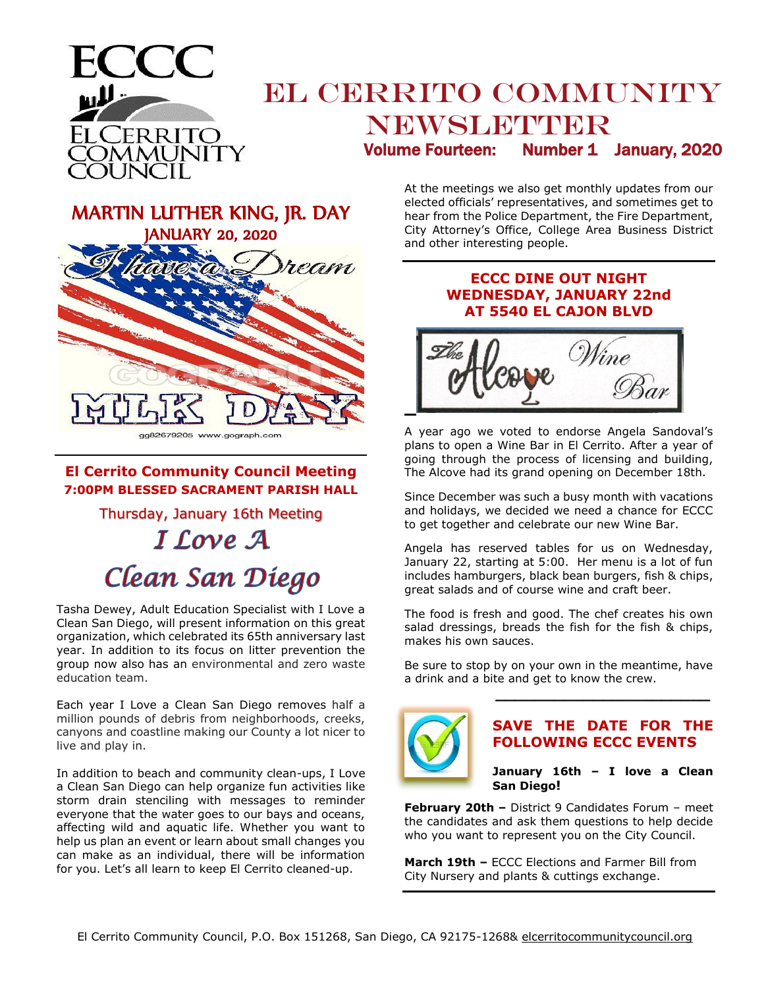

# EL CERRITO COMMUNITY NEWSLETTER Volume Fourteen: Number 1 January, 2020

MARTIN LUTHER KING, JR. DAY JANUARY 20, 2020 ecam

#### **El Cerrito Community Council Meeting 7:00PM BLESSED SACRAMENT PARISH HALL**

Thursday, January 16th Meeting

# I Love A Clean San Diego

Tasha Dewey, Adult Education Specialist with I Love a Clean San Diego, will present information on this great organization, which celebrated its 65th anniversary last year. In addition to its focus on litter prevention the group now also has an environmental and zero waste education team.

Each year I Love a Clean San Diego removes half a million pounds of debris from neighborhoods, creeks, canyons and coastline making our County a lot nicer to live and play in.

In addition to beach and community clean-ups, I Love a Clean San Diego can help organize fun activities like storm drain stenciling with messages to reminder everyone that the water goes to our bays and oceans, affecting wild and aquatic life. Whether you want to help us plan an event or learn about small changes you can make as an individual, there will be information for you. Let's all learn to keep El Cerrito cleaned-up.

At the meetings we also get monthly updates from our elected officials' representatives, and sometimes get to hear from the Police Department, the Fire Department, City Attorney's Office, College Area Business District and other interesting people.

## **ECCC DINE OUT NIGHT WEDNESDAY, JANUARY 22nd AT 5540 EL CAJON BLVD**



A year ago we voted to endorse Angela Sandoval's plans to open a Wine Bar in El Cerrito. After a year of going through the process of licensing and building, The Alcove had its grand opening on December 18th.

Since December was such a busy month with vacations and holidays, we decided we need a chance for ECCC to get together and celebrate our new Wine Bar.

Angela has reserved tables for us on Wednesday, January 22, starting at 5:00. Her menu is a lot of fun includes hamburgers, black bean burgers, fish & chips, great salads and of course wine and craft beer.

The food is fresh and good. The chef creates his own salad dressings, breads the fish for the fish & chips, makes his own sauces.

Be sure to stop by on your own in the meantime, have a drink and a bite and get to know the crew.



#### **SAVE THE DATE FOR THE FOLLOWING ECCC EVENTS**

**\_\_\_\_\_\_\_\_\_\_\_\_\_\_\_\_\_\_\_\_\_\_**

**January 16th – I love a Clean San Diego!** 

**February 20th –** District 9 Candidates Forum – meet the candidates and ask them questions to help decide who you want to represent you on the City Council.

**March 19th –** ECCC Elections and Farmer Bill from City Nursery and plants & cuttings exchange.

gg82679205 www.gograph.com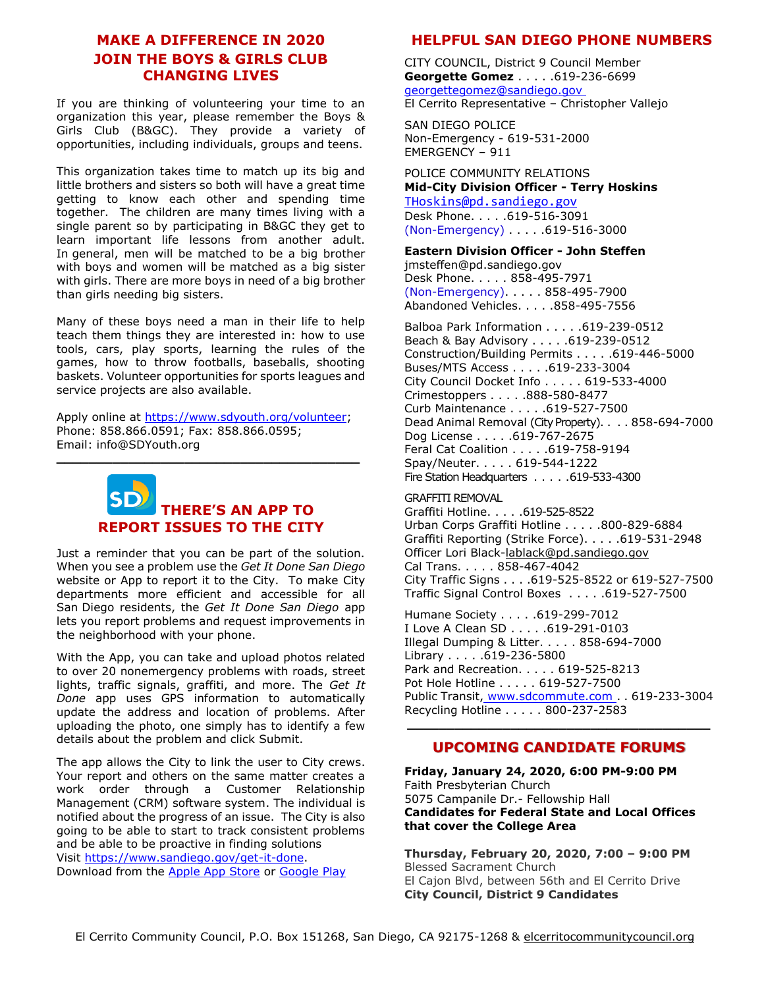## **MAKE A DIFFERENCE IN 2020 JOIN THE BOYS & GIRLS CLUB CHANGING LIVES**

If you are thinking of volunteering your time to an organization this year, please remember the Boys & Girls Club (B&GC). They provide a variety of opportunities, including individuals, groups and teens.

This organization takes time to match up its big and little brothers and sisters so both will have a great time getting to know each other and spending time together. The children are many times living with a single parent so by participating in B&GC they get to learn important life lessons from another adult. In general, men will be matched to be a big brother with boys and women will be matched as a big sister with girls. There are more boys in need of a big brother than girls needing big sisters.

Many of these boys need a man in their life to help teach them things they are interested in: how to use tools, cars, play sports, learning the rules of the games, how to throw footballs, baseballs, shooting baskets. Volunteer opportunities for sports leagues and service projects are also available.

Apply online at [https://www.sdyouth.org/volunteer;](https://www.sdyouth.org/volunteer) Phone: 858.866.0591; Fax: 858.866.0595; Email: info@SDYouth.org

**\_\_\_\_\_\_\_\_\_\_\_\_\_\_\_\_\_\_\_\_\_\_\_\_\_\_\_\_\_\_\_\_\_\_\_\_\_\_**



Just a reminder that you can be part of the solution. When you see a problem use the *Get It Done San Diego*  website or App to report it to the City. To make City departments more efficient and accessible for all San Diego residents, the *Get It Done San Diego* app lets you report problems and request improvements in the neighborhood with your phone.

With the App, you can take and upload photos related to over 20 nonemergency problems with roads, street lights, traffic signals, graffiti, and more. The *Get It Done* app uses GPS information to automatically update the address and location of problems. After uploading the photo, one simply has to identify a few details about the problem and click Submit.

The app allows the City to link the user to City crews. Your report and others on the same matter creates a work order through a Customer Relationship Management (CRM) software system. The individual is notified about the progress of an issue. The City is also going to be able to start to track consistent problems and be able to be proactive in finding solutions Visit [https://www.sandiego.gov/get-it-done.](https://www.sandiego.gov/get-it-done) Download from the [Apple App Store](https://itunes.apple.com/us/app/san-diego-311/id1065050595?ls=1&mt=8) or [Google Play](https://play.google.com/store/apps/details?id=com.connectedbits.sd311)

## **HELPFUL SAN DIEGO PHONE NUMBERS**

CITY COUNCIL, District 9 Council Member **Georgette Gomez** . . . . .619-236-6699 [georgettegomez@sandiego.gov](mailto:georgettegomez@sandiego.gov) El Cerrito Representative – Christopher Vallejo

SAN DIEGO POLICE Non-Emergency - 619-531-2000 EMERGENCY – 911

POLICE COMMUNITY RELATIONS **Mid-City Division Officer - Terry Hoskins** [THoskins@pd.sandiego.gov](mailto:THoskins@pd.sandiego.gov)

Desk Phone. . . . .619-516-3091 (Non-Emergency) . . . . .619-516-3000

**Eastern Division Officer - John Steffen**

jmsteffen@pd.sandiego.gov Desk Phone. . . . . 858-495-7971 (Non-Emergency). . . . . 858-495-7900 Abandoned Vehicles. . . . .858-495-7556

Balboa Park Information . . . . .619-239-0512 Beach & Bay Advisory . . . . . 619-239-0512 Construction/Building Permits . . . . .619-446-5000 Buses/MTS Access . . . . .619-233-3004 City Council Docket Info . . . . . 619-533-4000 Crimestoppers . . . . .888-580-8477 Curb Maintenance . . . . .619-527-7500 Dead Animal Removal (City Property). . . . 858-694-7000 Dog License . . . . .619-767-2675 Feral Cat Coalition . . . . .619-758-9194 Spay/Neuter. . . . . 619-544-1222 Fire Station Headquarters . . . . . . 619-533-4300

#### GRAFFITI REMOVAL

Graffiti Hotline. . . . .619-525-8522 Urban Corps Graffiti Hotline . . . . .800-829-6884 Graffiti Reporting (Strike Force). . . . .619-531-2948 Officer Lori Black[-lablack@pd.sandiego.gov](mailto:lablack@pd.sandiego.gov) Cal Trans. . . . . 858-467-4042 City Traffic Signs . . . .619-525-8522 or 619-527-7500 Traffic Signal Control Boxes . . . . .619-527-7500

Humane Society . . . . .619-299-7012 I Love A Clean SD . . . . .619-291-0103 Illegal Dumping & Litter. . . . . 858-694-7000 Library . . . . .619-236-5800 Park and Recreation. . . . . 619-525-8213 Pot Hole Hotline . . . . . 619-527-7500 Public Transit, [www.sdcommute.com](http://www.sdcommute.com/) . . 619-233-3004 Recycling Hotline . . . . . 800-237-2583 **\_\_\_\_\_\_\_\_\_\_\_\_\_\_\_\_\_\_\_\_\_\_\_\_\_\_\_\_\_\_\_\_\_\_\_\_\_\_**

## **UPCOMING CANDIDATE FORUMS**

**Friday, January 24, 2020, 6:00 PM-9:00 PM** Faith Presbyterian Church 5075 Campanile Dr.- Fellowship Hall **Candidates for Federal State and Local Offices that cover the College Area**

**Thursday, February 20, 2020, 7:00 – 9:00 PM** Blessed Sacrament Church El Cajon Blvd, between 56th and El Cerrito Drive **City Council, District 9 Candidates**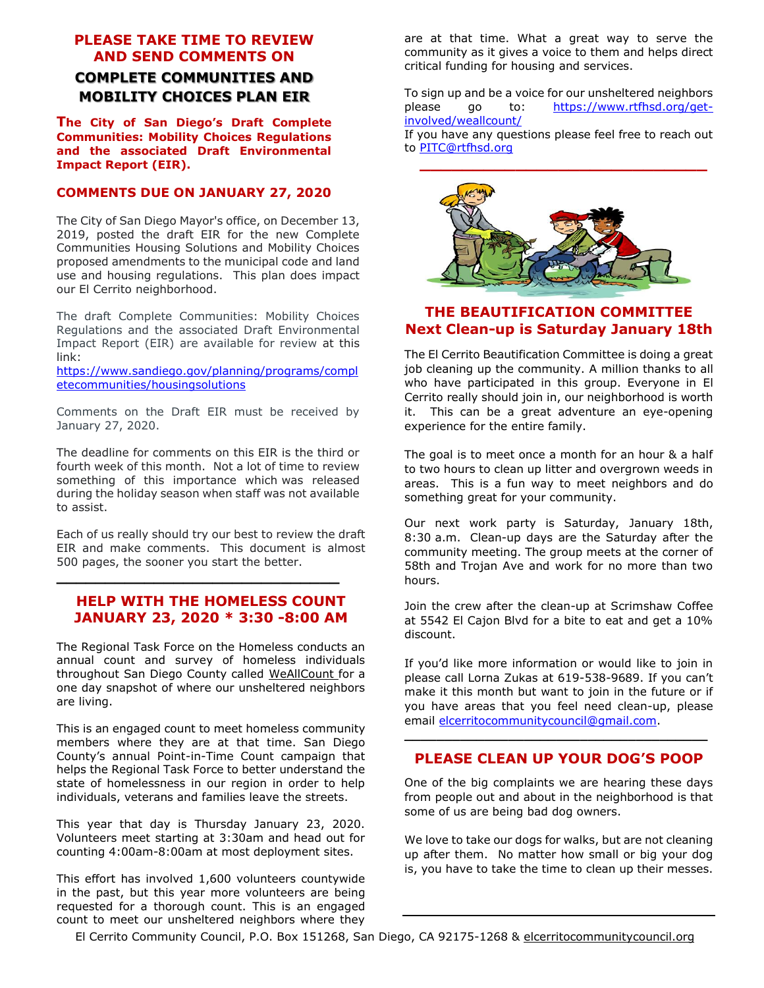# **PLEASE TAKE TIME TO REVIEW AND SEND COMMENTS ON COMPLETE COMMUNITIES AND MOBILITY CHOICES PLAN EIR**

**The City of San Diego's Draft Complete Communities: Mobility Choices Regulations and the associated Draft Environmental Impact Report (EIR).**

#### **COMMENTS DUE ON JANUARY 27, 2020**

The City of San Diego Mayor's office, on December 13, 2019, posted the draft EIR for the new Complete Communities Housing Solutions and Mobility Choices proposed amendments to the municipal code and land use and housing regulations. This plan does impact our El Cerrito neighborhood.

The draft Complete Communities: Mobility Choices Regulations and the associated Draft Environmental Impact Report (EIR) are available for review at this link:

[https://www.sandiego.gov/planning/programs/compl](https://www.sandiego.gov/planning/programs/completecommunities/housingsolutions) [etecommunities/housingsolutions](https://www.sandiego.gov/planning/programs/completecommunities/housingsolutions)

Comments on the Draft EIR must be received by January 27, 2020.

The deadline for comments on this EIR is the third or fourth week of this month. Not a lot of time to review something of this importance which was released during the holiday season when staff was not available to assist.

Each of us really should try our best to review the draft EIR and make comments. This document is almost 500 pages, the sooner you start the better.

## **HELP WITH THE HOMELESS COUNT JANUARY 23, 2020 \* 3:30 -8:00 AM**

**\_\_\_\_\_\_\_\_\_\_\_\_\_\_\_\_\_\_\_\_\_\_\_\_\_\_\_\_\_**

The Regional Task Force on the Homeless conducts an annual count and survey of homeless individuals throughout San Diego County called WeAllCount for a one day snapshot of where our unsheltered neighbors are living.

This is an engaged count to meet homeless community members where they are at that time. San Diego County's annual Point-in-Time Count campaign that helps the Regional Task Force to better understand the state of homelessness in our region in order to help individuals, veterans and families leave the streets.

This year that day is Thursday January 23, 2020. Volunteers meet starting at 3:30am and head out for counting 4:00am-8:00am at most deployment sites.

This effort has involved 1,600 volunteers countywide in the past, but this year more volunteers are being requested for a thorough count. This is an engaged count to meet our unsheltered neighbors where they

are at that time. What a great way to serve the community as it gives a voice to them and helps direct critical funding for housing and services.

To sign up and be a voice for our unsheltered neighbors please go to: [https://www.rtfhsd.org/get](https://www.rtfhsd.org/get-involved/weallcount/)[involved/weallcount/](https://www.rtfhsd.org/get-involved/weallcount/) If you have any questions please feel free to reach out

to [PITC@rtfhsd.org](mailto:PITC@rtfhsd.org)



## **THE BEAUTIFICATION COMMITTEE Next Clean-up is Saturday January 18th**

The El Cerrito Beautification Committee is doing a great job cleaning up the community. A million thanks to all who have participated in this group. Everyone in El Cerrito really should join in, our neighborhood is worth it. This can be a great adventure an eye-opening experience for the entire family.

The goal is to meet once a month for an hour & a half to two hours to clean up litter and overgrown weeds in areas. This is a fun way to meet neighbors and do something great for your community.

Our next work party is Saturday, January 18th, 8:30 a.m. Clean-up days are the Saturday after the community meeting. The group meets at the corner of 58th and Trojan Ave and work for no more than two hours.

Join the crew after the clean-up at Scrimshaw Coffee at 5542 El Cajon Blvd for a bite to eat and get a 10% discount.

If you'd like more information or would like to join in please call Lorna Zukas at 619-538-9689. If you can't make it this month but want to join in the future or if you have areas that you feel need clean-up, please email [elcerritocommunitycouncil@gmail.com.](mailto:elcerritocommunitycouncil@gmail.com)

# **\_\_\_\_\_\_\_\_\_\_\_\_\_\_\_\_\_\_\_\_\_\_\_\_\_\_\_\_\_\_\_\_\_\_\_\_\_\_ PLEASE CLEAN UP YOUR DOG'S POOP**

One of the big complaints we are hearing these days from people out and about in the neighborhood is that some of us are being bad dog owners.

We love to take our dogs for walks, but are not cleaning up after them. No matter how small or big your dog is, you have to take the time to clean up their messes.

El Cerrito Community Council, P.O. Box 151268, San Diego, CA 92175-1268 & elcerritocommunitycouncil.org